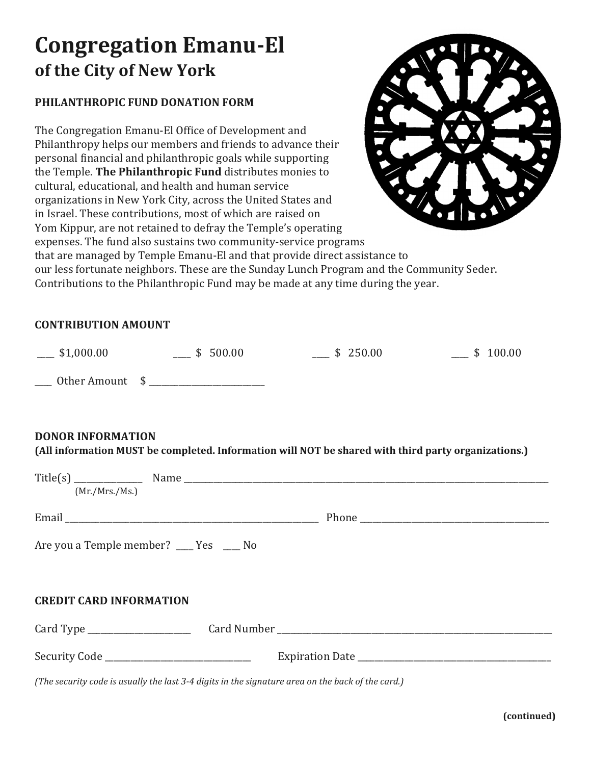# **Congregation Emanu-El of the City of New York**

## **PHILANTHROPIC FUND DONATION FORM**

The Congregation Emanu-El Office of Development and Philanthropy helps our members and friends to advance their personal financial and philanthropic goals while supporting the Temple. **The Philanthropic Fund** distributes monies to cultural, educational, and health and human service organizations in New York City, across the United States and in Israel. These contributions, most of which are raised on Yom Kippur, are not retained to defray the Temple's operating expenses. The fund also sustains two community-service programs that are managed by Temple Emanu-El and that provide direct assistance to our less fortunate neighbors. These are the Sunday Lunch Program and the Community Seder. Contributions to the Philanthropic Fund may be made at any time during the year.

#### **CONTRIBUTION AMOUNT**

| $\frac{\$1,000.00}{\$}$ | \$500.00 | \$250.00 | \$100.00 |
|-------------------------|----------|----------|----------|
| Other Amount \$         |          |          |          |

### **DONOR INFORMATION**

**(All information MUST be completed. Information will NOT be shared with third party organizations.)**

| (Mr./Mrs./Ms.)                          |  |  |  |  |
|-----------------------------------------|--|--|--|--|
|                                         |  |  |  |  |
| Are you a Temple member? ___ Yes ___ No |  |  |  |  |
| <b>CREDIT CARD INFORMATION</b>          |  |  |  |  |
| Card Type ______________________        |  |  |  |  |
|                                         |  |  |  |  |

(The security code is usually the last 3-4 digits in the signature area on the back of the card.)